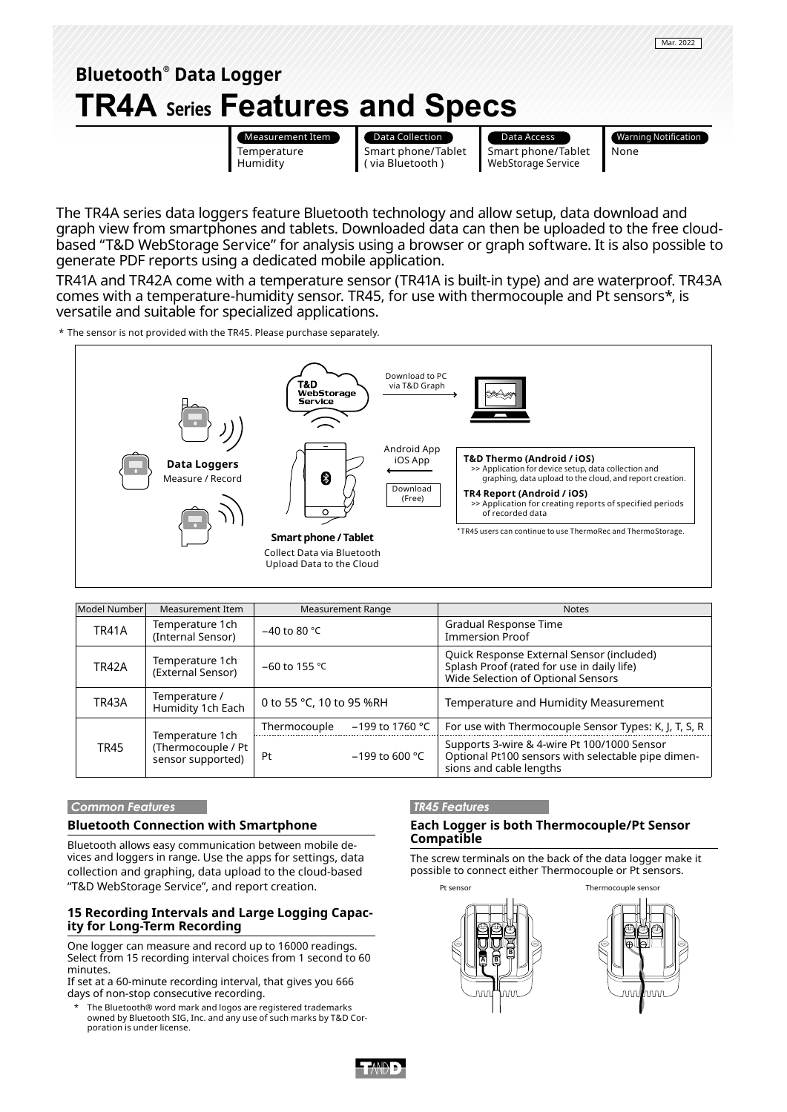

The TR4A series data loggers feature Bluetooth technology and allow setup, data download and graph view from smartphones and tablets. Downloaded data can then be uploaded to the free cloudbased "T&D WebStorage Service" for analysis using a browser or graph software. It is also possible to generate PDF reports using a dedicated mobile application.

TR41A and TR42A come with a temperature sensor (TR41A is built-in type) and are waterproof. TR43A comes with a temperature-humidity sensor. TR45, for use with thermocouple and Pt sensors\*, is versatile and suitable for specialized applications.

\* The sensor is not provided with the TR45. Please purchase separately.



| Model Number | Measurement Item                                           | Measurement Range        |                   | <b>Notes</b>                                                                                                                  |  |
|--------------|------------------------------------------------------------|--------------------------|-------------------|-------------------------------------------------------------------------------------------------------------------------------|--|
| <b>TR41A</b> | Temperature 1ch<br>(Internal Sensor)                       | $-40$ to 80 °C           |                   | Gradual Response Time<br><b>Immersion Proof</b>                                                                               |  |
| <b>TR42A</b> | Temperature 1ch<br>(External Sensor)                       | $-60$ to 155 °C          |                   | Quick Response External Sensor (included)<br>Splash Proof (rated for use in daily life)<br>Wide Selection of Optional Sensors |  |
| TR43A        | Temperature /<br>Humidity 1ch Each                         | 0 to 55 °C, 10 to 95 %RH |                   | Temperature and Humidity Measurement                                                                                          |  |
| <b>TR45</b>  | Temperature 1ch<br>(Thermocouple / Pt<br>sensor supported) | Thermocouple             | $-199$ to 1760 °C | For use with Thermocouple Sensor Types: K, J, T, S, R                                                                         |  |
|              |                                                            | Pt                       | $-199$ to 600 °C  | Supports 3-wire & 4-wire Pt 100/1000 Sensor<br>Optional Pt100 sensors with selectable pipe dimen-<br>sions and cable lengths  |  |

### **Common Features**

## **Bluetooth Connection with Smartphone**

Bluetooth allows easy communication between mobile devices and loggers in range. Use the apps for settings, data collection and graphing, data upload to the cloud-based "T&D WebStorage Service", and report creation.

## **15 Recording Intervals and Large Logging Capacity for Long-Term Recording**

One logger can measure and record up to 16000 readings. Select from 15 recording interval choices from 1 second to 60 minutes.

If set at a 60-minute recording interval, that gives you 666 days of non-stop consecutive recording.

The Bluetooth® word mark and logos are registered trademarks owned by Bluetooth SIG, Inc. and any use of such marks by T&D Corporation is under license.

#### **TR45 Features**

## **Each Logger is both Thermocouple/Pt Sensor Compatible**

The screw terminals on the back of the data logger make it possible to connect either Thermocouple or Pt sensors.